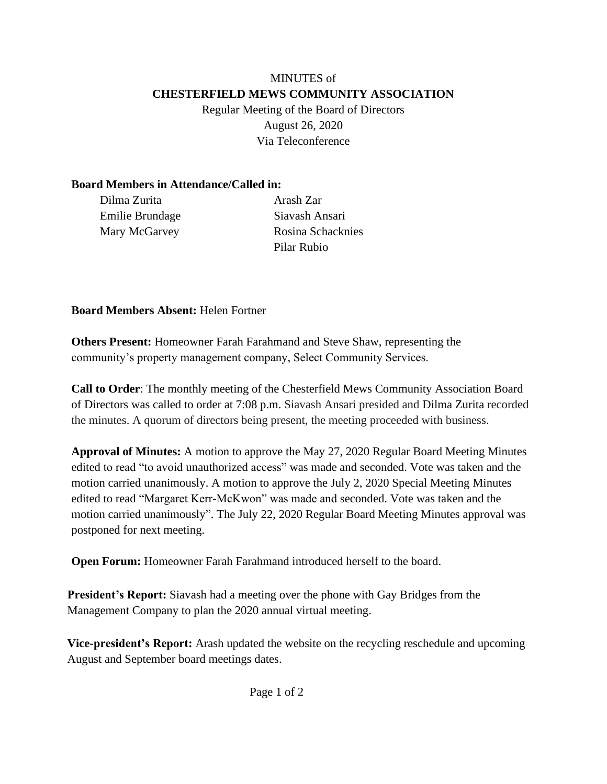#### MINUTES of **CHESTERFIELD MEWS COMMUNITY ASSOCIATION** Regular Meeting of the Board of Directors

August 26, 2020 Via Teleconference

### **Board Members in Attendance/Called in:**

Dilma Zurita Arash Zar Emilie Brundage Mary McGarvey

Siavash Ansari Rosina Schacknies Pilar Rubio

**Board Members Absent:** Helen Fortner

**Others Present:** Homeowner Farah Farahmand and Steve Shaw, representing the community's property management company, Select Community Services.

**Call to Order**: The monthly meeting of the Chesterfield Mews Community Association Board of Directors was called to order at 7:08 p.m. Siavash Ansari presided and Dilma Zurita recorded the minutes. A quorum of directors being present, the meeting proceeded with business.

**Approval of Minutes:** A motion to approve the May 27, 2020 Regular Board Meeting Minutes edited to read "to avoid unauthorized access" was made and seconded. Vote was taken and the motion carried unanimously. A motion to approve the July 2, 2020 Special Meeting Minutes edited to read "Margaret Kerr-McKwon" was made and seconded. Vote was taken and the motion carried unanimously". The July 22, 2020 Regular Board Meeting Minutes approval was postponed for next meeting.

**Open Forum:** Homeowner Farah Farahmand introduced herself to the board.

**President's Report:** Siavash had a meeting over the phone with Gay Bridges from the Management Company to plan the 2020 annual virtual meeting.

**Vice-president's Report:** Arash updated the website on the recycling reschedule and upcoming August and September board meetings dates.